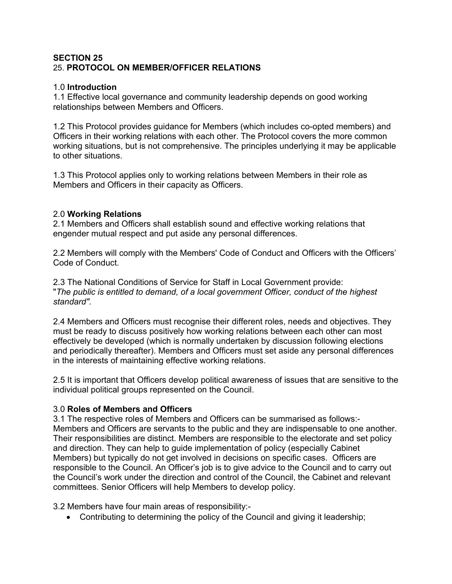## **SECTION 25** 25. **PROTOCOL ON MEMBER/OFFICER RELATIONS**

### 1.0 **Introduction**

1.1 Effective local governance and community leadership depends on good working relationships between Members and Officers.

1.2 This Protocol provides guidance for Members (which includes co-opted members) and Officers in their working relations with each other. The Protocol covers the more common working situations, but is not comprehensive. The principles underlying it may be applicable to other situations.

1.3 This Protocol applies only to working relations between Members in their role as Members and Officers in their capacity as Officers.

## 2.0 **Working Relations**

2.1 Members and Officers shall establish sound and effective working relations that engender mutual respect and put aside any personal differences.

2.2 Members will comply with the Members' Code of Conduct and Officers with the Officers' Code of Conduct.

2.3 The National Conditions of Service for Staff in Local Government provide: "*The public is entitled to demand, of a local government Officer, conduct of the highest standard".*

2.4 Members and Officers must recognise their different roles, needs and objectives. They must be ready to discuss positively how working relations between each other can most effectively be developed (which is normally undertaken by discussion following elections and periodically thereafter). Members and Officers must set aside any personal differences in the interests of maintaining effective working relations.

2.5 It is important that Officers develop political awareness of issues that are sensitive to the individual political groups represented on the Council.

#### 3.0 **Roles of Members and Officers**

3.1 The respective roles of Members and Officers can be summarised as follows:- Members and Officers are servants to the public and they are indispensable to one another. Their responsibilities are distinct. Members are responsible to the electorate and set policy and direction. They can help to guide implementation of policy (especially Cabinet Members) but typically do not get involved in decisions on specific cases. Officers are responsible to the Council. An Officer's job is to give advice to the Council and to carry out the Council's work under the direction and control of the Council, the Cabinet and relevant committees. Senior Officers will help Members to develop policy.

3.2 Members have four main areas of responsibility:-

• Contributing to determining the policy of the Council and giving it leadership;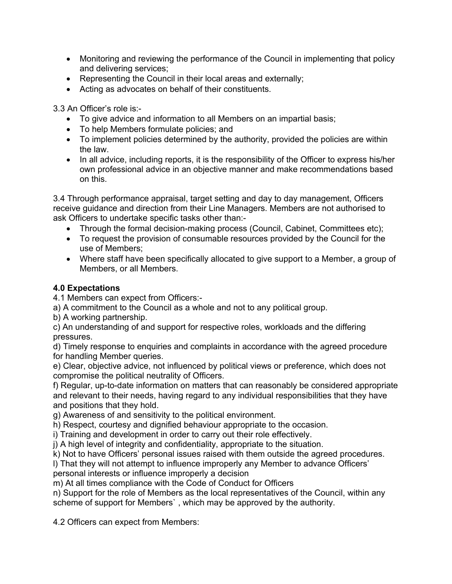- Monitoring and reviewing the performance of the Council in implementing that policy and delivering services;
- Representing the Council in their local areas and externally;
- Acting as advocates on behalf of their constituents.

3.3 An Officer's role is:-

- To give advice and information to all Members on an impartial basis;
- To help Members formulate policies; and
- To implement policies determined by the authority, provided the policies are within the law.
- In all advice, including reports, it is the responsibility of the Officer to express his/her own professional advice in an objective manner and make recommendations based on this.

3.4 Through performance appraisal, target setting and day to day management, Officers receive guidance and direction from their Line Managers. Members are not authorised to ask Officers to undertake specific tasks other than:-

- Through the formal decision-making process (Council, Cabinet, Committees etc);
- To request the provision of consumable resources provided by the Council for the use of Members;
- Where staff have been specifically allocated to give support to a Member, a group of Members, or all Members.

# **4.0 Expectations**

4.1 Members can expect from Officers:-

a) A commitment to the Council as a whole and not to any political group.

b) A working partnership.

c) An understanding of and support for respective roles, workloads and the differing pressures.

d) Timely response to enquiries and complaints in accordance with the agreed procedure for handling Member queries.

e) Clear, objective advice, not influenced by political views or preference, which does not compromise the political neutrality of Officers.

f) Regular, up-to-date information on matters that can reasonably be considered appropriate and relevant to their needs, having regard to any individual responsibilities that they have and positions that they hold.

g) Awareness of and sensitivity to the political environment.

h) Respect, courtesy and dignified behaviour appropriate to the occasion.

i) Training and development in order to carry out their role effectively.

j) A high level of integrity and confidentiality, appropriate to the situation.

k) Not to have Officers' personal issues raised with them outside the agreed procedures.

l) That they will not attempt to influence improperly any Member to advance Officers' personal interests or influence improperly a decision

m) At all times compliance with the Code of Conduct for Officers

n) Support for the role of Members as the local representatives of the Council, within any scheme of support for Members` , which may be approved by the authority.

4.2 Officers can expect from Members: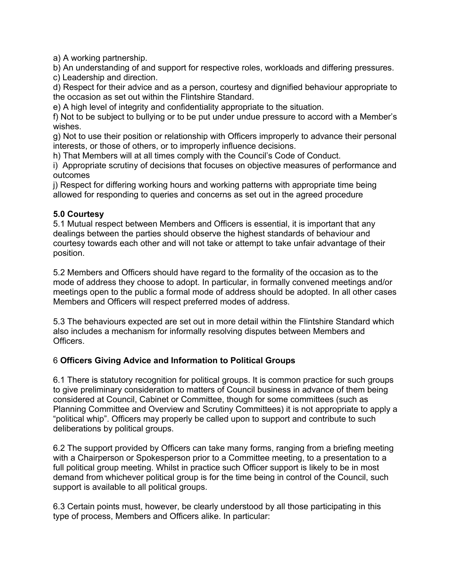a) A working partnership.

b) An understanding of and support for respective roles, workloads and differing pressures.

c) Leadership and direction.

d) Respect for their advice and as a person, courtesy and dignified behaviour appropriate to the occasion as set out within the Flintshire Standard.

e) A high level of integrity and confidentiality appropriate to the situation.

f) Not to be subject to bullying or to be put under undue pressure to accord with a Member's wishes.

g) Not to use their position or relationship with Officers improperly to advance their personal interests, or those of others, or to improperly influence decisions.

h) That Members will at all times comply with the Council's Code of Conduct.

i) Appropriate scrutiny of decisions that focuses on objective measures of performance and outcomes

j) Respect for differing working hours and working patterns with appropriate time being allowed for responding to queries and concerns as set out in the agreed procedure

# **5.0 Courtesy**

5.1 Mutual respect between Members and Officers is essential, it is important that any dealings between the parties should observe the highest standards of behaviour and courtesy towards each other and will not take or attempt to take unfair advantage of their position.

5.2 Members and Officers should have regard to the formality of the occasion as to the mode of address they choose to adopt. In particular, in formally convened meetings and/or meetings open to the public a formal mode of address should be adopted. In all other cases Members and Officers will respect preferred modes of address.

5.3 The behaviours expected are set out in more detail within the Flintshire Standard which also includes a mechanism for informally resolving disputes between Members and Officers.

# 6 **Officers Giving Advice and Information to Political Groups**

6.1 There is statutory recognition for political groups. It is common practice for such groups to give preliminary consideration to matters of Council business in advance of them being considered at Council, Cabinet or Committee, though for some committees (such as Planning Committee and Overview and Scrutiny Committees) it is not appropriate to apply a "political whip". Officers may properly be called upon to support and contribute to such deliberations by political groups.

6.2 The support provided by Officers can take many forms, ranging from a briefing meeting with a Chairperson or Spokesperson prior to a Committee meeting, to a presentation to a full political group meeting. Whilst in practice such Officer support is likely to be in most demand from whichever political group is for the time being in control of the Council, such support is available to all political groups.

6.3 Certain points must, however, be clearly understood by all those participating in this type of process, Members and Officers alike. In particular: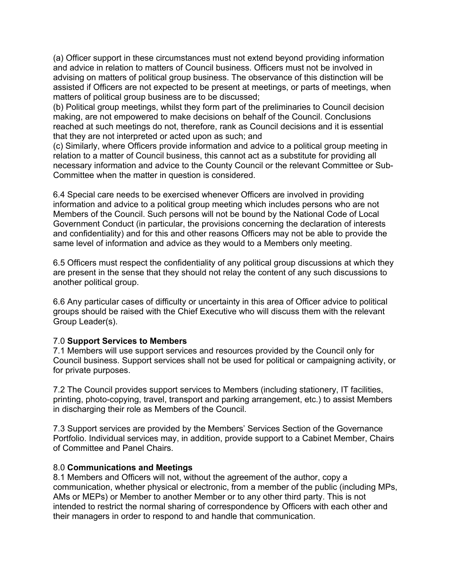(a) Officer support in these circumstances must not extend beyond providing information and advice in relation to matters of Council business. Officers must not be involved in advising on matters of political group business. The observance of this distinction will be assisted if Officers are not expected to be present at meetings, or parts of meetings, when matters of political group business are to be discussed;

(b) Political group meetings, whilst they form part of the preliminaries to Council decision making, are not empowered to make decisions on behalf of the Council. Conclusions reached at such meetings do not, therefore, rank as Council decisions and it is essential that they are not interpreted or acted upon as such; and

(c) Similarly, where Officers provide information and advice to a political group meeting in relation to a matter of Council business, this cannot act as a substitute for providing all necessary information and advice to the County Council or the relevant Committee or Sub-Committee when the matter in question is considered.

6.4 Special care needs to be exercised whenever Officers are involved in providing information and advice to a political group meeting which includes persons who are not Members of the Council. Such persons will not be bound by the National Code of Local Government Conduct (in particular, the provisions concerning the declaration of interests and confidentiality) and for this and other reasons Officers may not be able to provide the same level of information and advice as they would to a Members only meeting.

6.5 Officers must respect the confidentiality of any political group discussions at which they are present in the sense that they should not relay the content of any such discussions to another political group.

6.6 Any particular cases of difficulty or uncertainty in this area of Officer advice to political groups should be raised with the Chief Executive who will discuss them with the relevant Group Leader(s).

#### 7.0 **Support Services to Members**

7.1 Members will use support services and resources provided by the Council only for Council business. Support services shall not be used for political or campaigning activity, or for private purposes.

7.2 The Council provides support services to Members (including stationery, IT facilities, printing, photo-copying, travel, transport and parking arrangement, etc.) to assist Members in discharging their role as Members of the Council.

7.3 Support services are provided by the Members' Services Section of the Governance Portfolio. Individual services may, in addition, provide support to a Cabinet Member, Chairs of Committee and Panel Chairs.

#### 8.0 **Communications and Meetings**

8.1 Members and Officers will not, without the agreement of the author, copy a communication, whether physical or electronic, from a member of the public (including MPs, AMs or MEPs) or Member to another Member or to any other third party. This is not intended to restrict the normal sharing of correspondence by Officers with each other and their managers in order to respond to and handle that communication.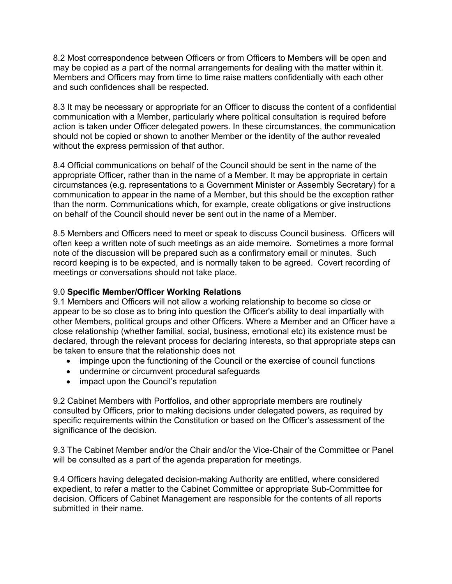8.2 Most correspondence between Officers or from Officers to Members will be open and may be copied as a part of the normal arrangements for dealing with the matter within it. Members and Officers may from time to time raise matters confidentially with each other and such confidences shall be respected.

8.3 It may be necessary or appropriate for an Officer to discuss the content of a confidential communication with a Member, particularly where political consultation is required before action is taken under Officer delegated powers. In these circumstances, the communication should not be copied or shown to another Member or the identity of the author revealed without the express permission of that author.

8.4 Official communications on behalf of the Council should be sent in the name of the appropriate Officer, rather than in the name of a Member. It may be appropriate in certain circumstances (e.g. representations to a Government Minister or Assembly Secretary) for a communication to appear in the name of a Member, but this should be the exception rather than the norm. Communications which, for example, create obligations or give instructions on behalf of the Council should never be sent out in the name of a Member.

8.5 Members and Officers need to meet or speak to discuss Council business. Officers will often keep a written note of such meetings as an aide memoire. Sometimes a more formal note of the discussion will be prepared such as a confirmatory email or minutes. Such record keeping is to be expected, and is normally taken to be agreed. Covert recording of meetings or conversations should not take place.

## 9.0 **Specific Member/Officer Working Relations**

9.1 Members and Officers will not allow a working relationship to become so close or appear to be so close as to bring into question the Officer's ability to deal impartially with other Members, political groups and other Officers. Where a Member and an Officer have a close relationship (whether familial, social, business, emotional etc) its existence must be declared, through the relevant process for declaring interests, so that appropriate steps can be taken to ensure that the relationship does not

- impinge upon the functioning of the Council or the exercise of council functions
- undermine or circumvent procedural safeguards
- impact upon the Council's reputation

9.2 Cabinet Members with Portfolios, and other appropriate members are routinely consulted by Officers, prior to making decisions under delegated powers, as required by specific requirements within the Constitution or based on the Officer's assessment of the significance of the decision.

9.3 The Cabinet Member and/or the Chair and/or the Vice-Chair of the Committee or Panel will be consulted as a part of the agenda preparation for meetings.

9.4 Officers having delegated decision-making Authority are entitled, where considered expedient, to refer a matter to the Cabinet Committee or appropriate Sub-Committee for decision. Officers of Cabinet Management are responsible for the contents of all reports submitted in their name.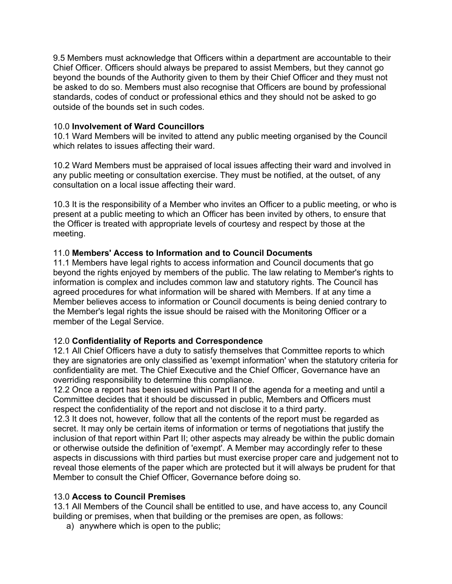9.5 Members must acknowledge that Officers within a department are accountable to their Chief Officer. Officers should always be prepared to assist Members, but they cannot go beyond the bounds of the Authority given to them by their Chief Officer and they must not be asked to do so. Members must also recognise that Officers are bound by professional standards, codes of conduct or professional ethics and they should not be asked to go outside of the bounds set in such codes.

## 10.0 **Involvement of Ward Councillors**

10.1 Ward Members will be invited to attend any public meeting organised by the Council which relates to issues affecting their ward.

10.2 Ward Members must be appraised of local issues affecting their ward and involved in any public meeting or consultation exercise. They must be notified, at the outset, of any consultation on a local issue affecting their ward.

10.3 It is the responsibility of a Member who invites an Officer to a public meeting, or who is present at a public meeting to which an Officer has been invited by others, to ensure that the Officer is treated with appropriate levels of courtesy and respect by those at the meeting.

## 11.0 **Members' Access to Information and to Council Documents**

11.1 Members have legal rights to access information and Council documents that go beyond the rights enjoyed by members of the public. The law relating to Member's rights to information is complex and includes common law and statutory rights. The Council has agreed procedures for what information will be shared with Members. If at any time a Member believes access to information or Council documents is being denied contrary to the Member's legal rights the issue should be raised with the Monitoring Officer or a member of the Legal Service.

# 12.0 **Confidentiality of Reports and Correspondence**

12.1 All Chief Officers have a duty to satisfy themselves that Committee reports to which they are signatories are only classified as 'exempt information' when the statutory criteria for confidentiality are met. The Chief Executive and the Chief Officer, Governance have an overriding responsibility to determine this compliance.

12.2 Once a report has been issued within Part II of the agenda for a meeting and until a Committee decides that it should be discussed in public, Members and Officers must respect the confidentiality of the report and not disclose it to a third party.

12.3 It does not, however, follow that all the contents of the report must be regarded as secret. It may only be certain items of information or terms of negotiations that justify the inclusion of that report within Part II; other aspects may already be within the public domain or otherwise outside the definition of 'exempt'. A Member may accordingly refer to these aspects in discussions with third parties but must exercise proper care and judgement not to reveal those elements of the paper which are protected but it will always be prudent for that Member to consult the Chief Officer, Governance before doing so.

#### 13.0 **Access to Council Premises**

13.1 All Members of the Council shall be entitled to use, and have access to, any Council building or premises, when that building or the premises are open, as follows:

a) anywhere which is open to the public;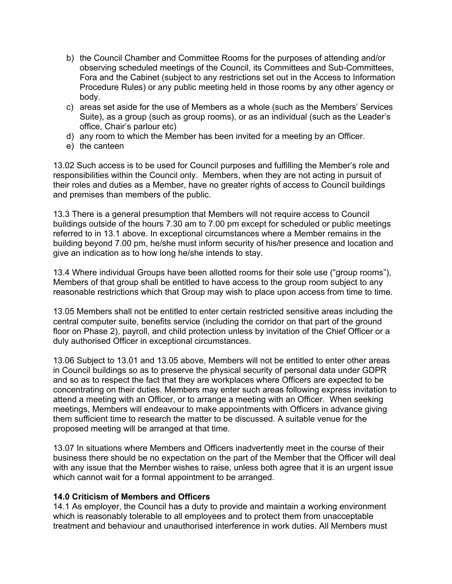- b) the Council Chamber and Committee Rooms for the purposes of attending and/or observing scheduled meetings of the Council, its Committees and Sub-Committees, Fora and the Cabinet (subject to any restrictions set out in the Access to Information Procedure Rules) or any public meeting held in those rooms by any other agency or body.
- c) areas set aside for the use of Members as a whole (such as the Members' Services Suite), as a group (such as group rooms), or as an individual (such as the Leader's office, Chair's parlour etc)
- d) any room to which the Member has been invited for a meeting by an Officer.
- e) the canteen

13.02 Such access is to be used for Council purposes and fulfilling the Member's role and responsibilities within the Council only. Members, when they are not acting in pursuit of their roles and duties as a Member, have no greater rights of access to Council buildings and premises than members of the public.

13.3 There is a general presumption that Members will not require access to Council buildings outside of the hours 7.30 am to 7.00 pm except for scheduled or public meetings referred to in 13.1 above. In exceptional circumstances where a Member remains in the building beyond 7.00 pm, he/she must inform security of his/her presence and location and give an indication as to how long he/she intends to stay.

13.4 Where individual Groups have been allotted rooms for their sole use ("group rooms"), Members of that group shall be entitled to have access to the group room subject to any reasonable restrictions which that Group may wish to place upon access from time to time.

13.05 Members shall not be entitled to enter certain restricted sensitive areas including the central computer suite, benefits service (including the corridor on that part of the ground floor on Phase 2), payroll, and child protection unless by invitation of the Chief Officer or a duly authorised Officer in exceptional circumstances.

13.06 Subject to 13.01 and 13.05 above, Members will not be entitled to enter other areas in Council buildings so as to preserve the physical security of personal data under GDPR and so as to respect the fact that they are workplaces where Officers are expected to be concentrating on their duties. Members may enter such areas following express invitation to attend a meeting with an Officer, or to arrange a meeting with an Officer. When seeking meetings, Members will endeavour to make appointments with Officers in advance giving them sufficient time to research the matter to be discussed. A suitable venue for the proposed meeting will be arranged at that time.

13.07 In situations where Members and Officers inadvertently meet in the course of their business there should be no expectation on the part of the Member that the Officer will deal with any issue that the Member wishes to raise, unless both agree that it is an urgent issue which cannot wait for a formal appointment to be arranged.

#### **14.0 Criticism of Members and Officers**

14.1 As employer, the Council has a duty to provide and maintain a working environment which is reasonably tolerable to all employees and to protect them from unacceptable treatment and behaviour and unauthorised interference in work duties. All Members must